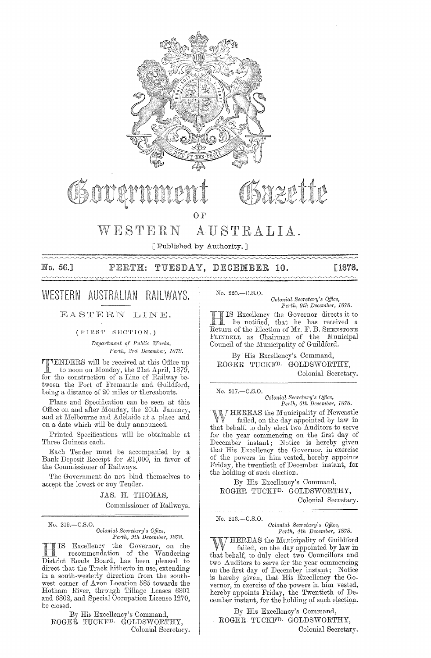

WEPHIP

OF

#### WESTERN AUSTRALIA.

[Published by Authority.]

No. 56.1

#### TUESDAY, DECEMBER 10. [1878. PERTH:

# WESTERN AUSTRALIAN RAILWAYS.

EASTERN LINE.

#### (FIRST SEOTION.)

*Department of Public Works,* Perth, 3rd December, 1878.

**TIENDERS** will be received at this Office up<br>to noon on Monday, the 21st April, 1879, **TENDERS** will be received at this Office up<br>to noon on Monday, the 21st April, 1879, for the construction of a Line of Railway between the Port of Fremantle and Guildford, being a distance of 20 miles or thereabouts.

Plans and Specification can be seen at this Office on and after Monday, the 20th January, and at Melbourne and Adelaide at a place and on a date which will be duly announced.

Printed Specifications will be obtainable at Three Guineas each.

Each Tender must be accompanied by a Bank Deposit Receipt for  $\pounds1,000$ , in favor of the Commissioner of Railways.

The Government do not bind themselves to accept the lowest or any Tender.

JAS. H. THOMAS,

Commissioner of Railways.

No. 219.-C.S.O.

 $Colonial$  Secretary's Office, Perth, 9th December, 1878.

**HIS Excellency the Governor**, on the recommendation of the Wandering District Roads Board, has been pleased to direct that the Track hitherto in use, extending in a south-westerly direction from the southwest corner of Avon Location 585 towards the Hotham River, through Tillage Leases 6801 and 6802, and Special Occupation License 1270, be closed.

By His Excellency's Command, ROGER TUCKFD. GOLDSWORTHY, Colonial Secretary. No. 220.-C.S.O.

*Colonial SeCl'eta1'Y's Qffice,*  Perth, 9th December, 1878.

H IS Excellency the Governor directs it to be notified, that he has received a Return of the Election of Mr. F. B. SHENSTONE FLINDELL as Chairman of the Municipal Council of the Municipality of Guildford.

By His Excellency's Command, ROGER TUCKFD. GOLDSWORTHY, Colonial Secretary.

No. 217.-C.S.O.

*Colonial Secretary's Office, Perth, 6th pecember, 1878.* 

HEREAS the Municipality of Newcastle failed, on the day appointed by law in that behalf, to duly elect two Auditors to serve for the year commencing on the first day of December instant; Notice is hereby given that His Excellency the Governor, in exercise of the powers in him vested, hereby appomts Friday, the twentieth of'December instant, for the holding of such election.

By His Excellency's Command, ROGER TUCKFD. GOLDSWORTHY, Colonial Secretary.

No. 216.-C.S.O.

*Colonial Secretary's Office,*<br>*Perth, 4th December, 1878.* 

HEREAS the Municipality of Guildford failed, on the day appointed by law in that behalf, to duly elect two Councillors and two Auditors to serve for the year commencing on the first day of December instant; Notice is hereby given, that His Excellency the Governor, in exercise of the powers in him vested, hereby appoints Friday, the Twentieth of December instant, for the holding of such election.

By His Excellency's Command, ROGER TUCKFD. GOLDSWORTHY, Colonial Secretary.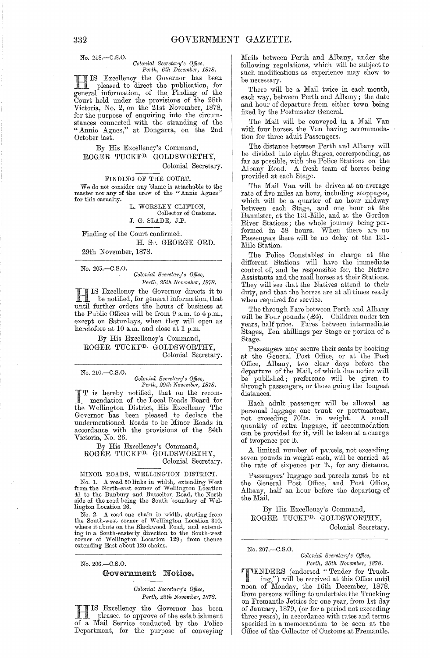No. 218.-C.S.0.

#### *Colonial Secretary's Office, Pel'th, 6th December, 1878.*

**H IS Excellency the Governor has been**<br>pleased to direct the publication, for pleased to direct the publication, for general information, of the Finding of the Court held under the provisions of the 28th Victoria, No. 2, on the 21st November, 1878, for the purpose of enquiring into the circumstances connected with the stranding of the "Annie Agnes," at Dongarra, on the 2nd October last.

# By His Excellency's Command, ROGER TUCKFD. GOLDSWORTHY,

# Colonial Secretary.<br>FINDING OF THE COURT.

We do not consider any blame is attachable to the master nor any of the crew of the "Annie Agnes" for this casualty.

L. WORSLEY CLIFTON, Collector of Customs. J. G. SLADE, J.P.

Finding of the Court confirmed. H. ST. GEORGE ORD.

29th November, 1878.

No.205.-C.S.0.

*Colonial Secretary's Office, Pe)·th, 25th Novcmbe)', 1878.* 

HIS Excellency the Governor directs it to be notified, for general information, that until further orders the hours of business at the Public Offices will be from 9 a.m. to 4 p.m., except on Saturdays, when they will open as heretofore at 10 a.m. and close at 1 p.m.

By His Excellency's Command, ROGER TUCKFD. GOLDSWORTHY, Colonial Secretary.

No. 210.-C.S.0.

*Colonial Secretary's Office,*<br>Perth, 29th November, 1878.

I T is hereby notified, that on the recom-<br>
mendation of the Local Roads Board for<br>
the Wellington District Fig. Excellence Theory the Wellington District, His Excellency The Governor has been pleased to declare the undermentioned Roads to be Minor Roads in accordance with the provisions of the 34th Victoria, No. 26.

By His Excellency's Command, ROGER TUCKFD. GOLDSWORTHY,

# Colonial Secretary.<br>MINOR ROADS, WELLINGTON DISTRICT.

No. 1. A road 50 links in width, extending West<br>from the North-east corner of Wellington Location<br>41 to the Bunbury and Busselton Road, the North side of the road being the South boundary of Wellington Location 26.

No. 2. A road one chain in width, starting from the South-west corner of Wellington Location 310, where it abuts on the Blackwood Road, and extending in a South-easterly direction to the South-west corner of Wellington Location 129; from thence extending East about 120 chains.

No.206.-C.S.0.

#### Government Notice.

*Colonial Secretary's Office, Perth, 25th November, 1878.* 

**HIS Excellency the Governor has been**<br>pleased to approve of the establishment<br>of a Meil Service conducted by the Police of a Mail Service conducted by the Police Department, for the purpose of conveying Mails between Perth and Albany, under the following regulations, which will be subject to such modifications as experience may show to be necessary.

There will be a Mail twice in each month, each way, between Perth and Albany; the date and hour of departure from either town being fixed by the Postmaster General.

The Mail will be conveyed in a Mail Van with four horses, the Van having accommodation for three adult Passengers.

The distance between Perth and Albany will be divided into eight Stages, corresponding, as far as possible, with the Police Stations on the Albany Road. A fresh team of horses being provided at each Stage.

The Mail Van will be driven at an average rate of five miles an hour, including stoppages, which will be a quarter of an hour midway between each Stage, and one hour at the Bannister, at the 131-Mile, and at the Gordon River Stations; the whole journey being performed in 58 hours. When there are no Passengers there will be no delay at the 131- Mile Station.

The Police Constables in charge at the different Stations will have the immediate control of, and be responsible for, the Native Assistants and the mail horses at their Stations. They will see that the Natives attend to their duty, and that the horses are at all times ready when required for service.

The through Fare between Perth and Albany will be Four pounds (£4). Children under ten years, half price. Fares between intermediate Stages, Ten shillings per Stage or portion of a Stage.

Passengers may secure their seats by booking at the General Post Office, or at the Post Office, Albany, two clear days before the departure of the Mail, of which due notice will be published; preference will be given to through passengers, or those going the longest distances.

Each adult passenger will be allowed as personal luggage one trunk 01' portmanteau, not exceeding 70lbs. in weight. A small quantity of extra luggage, if accommodation can be provided for it, will be taken at a charge of twopence per lb.

A limited number of parcels, not exceeding seven pounds in weight each, will be carried at the rate of sixpence per lb., for any distance.

Passengers' luggage and parcels must be at the General Post Office, and Post Office, Albany, half an hour before the departure of the Mail.

By His Excellency's Command, ROGER TUCKFD. GOLDSWORTHY, Colonial Secretary.

No.207.-C.S.0.

*Colonial Secreta;'Y's o.tfice, Pe;·th, 25th November, 1878.* 

**TTENDERS** (endorsed "Tender for Truck-<br>
ing,") will be received at this Office until<br>
near of Monder, the 16th Desember 1878 noon of Monday, the 16th December, 1878. from persons willing to undertake the Trucking on Fremantle Jetties for one year, from 1st day of January, 1879, (or for a period not exceeding three years), in accordance with rates and terms specified in a memorandum to be seen at the Office of the Collector of Customs at Fremantle.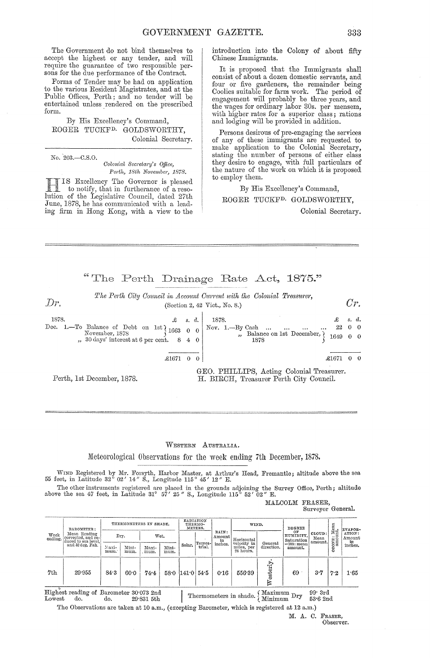The Government do not bind themselves to accept the highest or any tender, and will require the guarantee of two responsible persons for the due performance of the Contract.

Forms of Tender may be had on application to the various Resident Magistrates, and at the Public Offices, Perth; and no tender will be entertained unless rendered on the prescribed form. .

By His Excellency's Command, ROGER TUCKFD. GOLDSWORTHY, Colonial Secretary.

No. 203.-C.S.O.

 $Dr$ 

*Colonial Secretary's Office, Perth, 18th November, 1878.* 

Excellency The Governor is pleased to notify, that in furtherance of a resolution of the Legislative Council, dated 27th June, 1878, he has communicated with a leading firm in Hong Kong, with a view to the introduction into the Colony of about fifty Chinese Immigrants.

It is proposed that the Immigrants shall consist of about a dozen domestic servants, and four or five gardeners, the remainder being Coolies suitable for farm work. The period of engagement will probably be three years, and the wages for ordinary labor 30s. per mensem, with higher rates for a superior class; rations and lodging will be provided in addition.

Persons desirous of pre-engaging the services of any of these immigrants are requested to make application to the Colonial Secretary, stating the number of persons of either class they desire to engage, with full particulars of the nature of the work on which it is proposed to employ them.

## By His Excellency's Command, ROGER TUCKF<sup>D.</sup> GOLDSWORTHY,

Colonial Secretary.

*Cr.* 

"The Perth Drainage Rate Act,  $1875$ ."

*The Perth City Council in Account Current with the Colonial Treasurer,* (Section 2, 42 Vict., No. 8.)

1878.<br>
Dec. 1.—To Balance of Debt on 1st  $\begin{cases} 2s & d. \\ 1663 & 0 \end{cases}$  Nov. 1.—By Cash £ s. *cl.* 1878. November, 1878  $\begin{bmatrix} 1663 & 0 & 0 \\ 0 & 0 & 0 \\ 0 & 0 & 0 \end{bmatrix}$  November, 1878  $\begin{bmatrix} 1663 & 0 & 0 \\ 0 & 0 & 0 \\ 0 & 0 & 0 \end{bmatrix}$   $\begin{bmatrix} 1663 & 0 & 0 \\ 0 & 0 & 0 \\ 0 & 0 & 0 \end{bmatrix}$ £ *s.* d. 22 0 0 1649 0 0  $\pounds1671 \quad 0 \quad 0$ GEO. PHILLIPS, Acting Colonial Treasurer.

Perth, 1st December, 1878.

H. BIRCH, Treasurer Perth City Council.

#### WESTERN AUSTRALIA.

Meteorological Observations for the week ending 7th December, 1878.

WIND Registered by Mr. Forsyth, Harbor Master, at Arthur's Head, Fremantle; altitude above the sea 55 feet, in Latitude 32° 02' 14" S., Longitude 115° 45' 12" E.

The other instruments registered are placed in the grounds adjoining the Survey Office, Perth; altitude above the sea 47 feet, in Latitude 31° 57' 25" S., Longitude 115° 52' 02" E.

MALCOLM FRASER, Surveyor General.

| Week<br>ending. | <b>BAROMETER:</b><br>Mean Reading<br>corrected, and re-<br>duced to sea level.<br>and 32 deg. Fah. | THERMOMETERS IN SHADE. |               |               | <b>EADIATION</b><br>THERMO-<br>METERS. |                       |                       | WIND.      |                                        | DEGREE                        |                           | Mean<br>nt. | EVAPOR-          |                                                    |
|-----------------|----------------------------------------------------------------------------------------------------|------------------------|---------------|---------------|----------------------------------------|-----------------------|-----------------------|------------|----------------------------------------|-------------------------------|---------------------------|-------------|------------------|----------------------------------------------------|
|                 |                                                                                                    |                        | Dry.<br>Wet.  |               |                                        |                       | RAIN:<br>Amount<br>in | Horizontal |                                        | OF<br>HUMIDITY.<br>Saturation | CLOUD:<br>Mean<br>amount. | <br>ONE:    | ATION:<br>Amount |                                                    |
|                 |                                                                                                    | Maxi-<br>mum.          | Mini-<br>mum. | Maxi-<br>mum. | Mini-<br>mum.                          | Solar.                | Terres                | inches.    | velocity in<br>miles, per<br>24 hours. | General<br>direction.         | $=100$ : mean<br>amount.  |             | Š                | $\displaystyle{\frac{\text{in}}{\text{inches}_n}}$ |
| 7th             | 29.955                                                                                             | 84.3                   | 60.0          | 74.4          |                                        | $58.0$ $141.0$ $54.5$ |                       | 0.16       | 556.39                                 | esterly                       | 69                        | 3.7         | 7.2              | 1.65                                               |

Highest reading of Barometer 30.073 2nd  $\begin{array}{c|c|c|c|c|c|c|c} \hline \multicolumn{1}{c|}{\text{Liphestr} & \multicolumn{1}{c}{\text{Liphestr}c}} & \multicolumn{1}{c}{\text{Liphestr}c}} & \multicolumn{1}{c}{\text{Liphestr}c} & \multicolumn{1}{c}{\text{Highest reading of Barometer 30:073 2nd}} & \multicolumn{1}{c}{\text{Thermometers in shade.}} & \multicolumn{1}{c}{\text{Maximum Dry}} & \multicolumn{1}{c}{99\text{ }\text{3rd}} \\ \text{Lowest} & \multicolumn{1}{c}{\text{do.}} & \multicolumn{$ 

The Observations are taken at 10 a.m., (excepting Barometer, which is registered at 12 a.m.)

M. A. C. FRASER, Observer.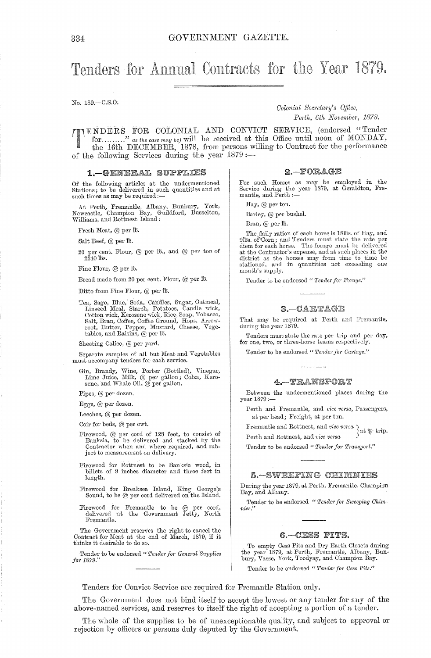# Tenders for Annual Contracts for the Year 1879.

No. 189.-C.S.O.

*Colonial Secretary's Office, Perth, 6th November, 1878.* 

TENDERS FOR COLONIAL AND CONVICT SERVICE, (endorsed "Tender for ........." as the case may be) will be received at this Office until noon of MONDAY, the 16th DECEMBER, 1878, from persons willing to Contract for the perform for ........." as the case may be) will be received at this Office until noon of MONDAY, the 16th DECEMBER, 1878, from persons wi1ling to Contract for the performance of the following Services during the year  $1879:$ 

#### 1. - GENERAL SUPPLIES

Of the following articles at the undermentioned Stations; to be delivered in such quantities and at such times as may be required :-

At Perth, Fremantle, Albany, Bunbury, York,<br>Newcastle, Champion Bay, Guildford, Busselton, Williams, and Rottnest Island:

Fresh Meat, @ per lb.

Salt Beef, @ per lb.

20 per cent. Flour,  $@$  per lb., and  $@$  per ton of  $2240$   $\overline{\text{b}}\text{s}$ .

Fine Flour, @ per ID.

Bread made from 20 per cent. Flour, @ per Ib.

Ditto from Fine Flour,  $@$  per  $th.$ 

Tea, Sago, Blue, Soda, Candles, Sugar, Oatmeal,<br>Linseed Meal, Starch, Potatoes, Candle wick,<br>Cotton wick, Kerosene wick, Rice, Soap, Tobacco,<br>Salt, Bran, Coffee, Coffee Ground, Hops, Arrowroot, Butter, Pepper, Mustard, Cheese, Vege $t$ ables, and Raisins,  $@$  per Ib.

Sheeting Calico, @ per yard.

Separate samples of all but Meat and  $\it Vegetables$ must accompany tenders for each service.

Gin, Brandy, Wine, Porter (Bottled), Vinegar, Lime Juice, Milk, @ per gallon; Colza, Kerosene, and Whale Oil, @ per gallon.

Pipes, @ per dozen.

Eggs, @ per dozen.

Leeches, @ per dozen.

Coir for beds, @ per cwt.

- Firewood, @ per cord of 128 feet, to consist of Banksia, to be delivered and stacked by the Contractor when and where required, and subject to measurement on delivery.
- Firewood for Rottnest to be Banksia wood, in billets of 9 inches diameter and three feet in length.
- Firewood for Breaksea Island, King George's Sound, to be  $@$  per cord delivered on the Island.
- Firewood for Fremantle to be @ per cord, delivered at the Government Jetty, North Fremantle.

The Government reserves the right to cancel the Contract for Meat at the end of March, 1879, if it thinks it desirable to do so.

Tender to be endorsed " *Tender for General Supplies jo)'1879."* 

 $2 - POBAGE$ 

For such Horses as may be employed in the Service during the year 1879, at Geraldton, Fre-<br>mantle, and Perth :-

Hay, @ per ton.

Barley, @ per bushel.

Bran, @ per lb.

The daily ration of each horse is 18115s. of Hay, and<br>9115s. of Corn; and Tenders must state the rate per<br>diem for each horse. The forage must be delivered at the Contractor's expense, and at such places in the district as the horses may from time to time be stationed, and in quantities not exceeding one month's supply.

Tender to be endorsed " Tender for Forage."

#### $3 - CARTAGE$

That may be required at Perth and Fremantle, during the year 1879.

Tenders must state the rate per trip and per day, for one, two, or three-horse teams respectively.

Tender to be endorsed " Tender for Cartage."

#### 4. TRANSFORT

Between the undermentioned places during the  $vear 1879:$ 

Perth and Fremantle, and *vice versa*, Passengers, at per head; Freight, at per ton.

Fremantle and Rottnest, and *vice versa*  $\left.\right\}$  at  $\uppsi$  trip.<br>Perth and Rottnest, and *vice versa* Perth and Rottnest, and *vice versa* 

Tender to be endorsed " Tender for Transport."

5. SWEEPING CHIMNIES

During the year 1879, at Perth, Fremantle, Champion Bay, and Albany.

Tender to be endorsed " Tender for Sweeping Chim*nies."* 

#### 6. - CESS PITS.

To empty Cess Pits and Dry Earth Closets during the year 1879, at Perth, Fremantle, Albany, Bunbury, 'Vasse, York, Toodyay, and Champion Bay.

Tender to be endorsed " Tender for Cess Pits."

Tenders for Convict Service are required for Fremantle Station only.

The Government does not bind itself to accept the lowest or any tender for any of the above-named services, and reserves to itself the right of accepting a portion of a tender.

The whole of the supplies to be of unexceptionable quality, and subject to approval or rejection by officers or persons duly deputed by the Government.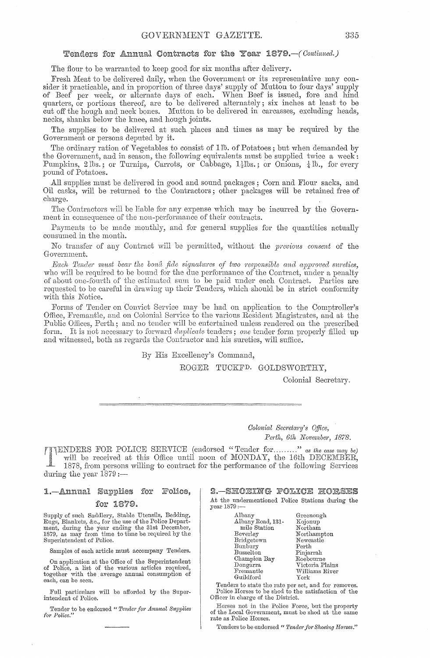### Tenders for Annual Contracts for the Year 1879. - (Continued.)

The flour to be warranted to keep good for six months after delivery.

Fresh Meat to be delivered daily, when the Government or its representative may consider it practicable, and in proportion of three days' supply of Mutton to four days' supply of Beef per week, or alternate days of each. \Vhen Beef is issued, fore and. hind quarters, or portions thereof, are to be delivered alternately; six inches at least to be cut off the hough and neck bones. Mutton to be delivered in carcasses, excluding heads, necks, shanks below the knee, and hough joints.

The supplies to be delivered at such places and times as may be required by the Government or persons deputed by it.

The ordinary ration of Vegetables to consist of lib. of Potatoes; but when demanded by the Government, and in season, the following equivalents must be supplied twice a week: Pumpkins, 2 lbs.; or Turnips, Carrots, or Cabbage,  $1\frac{1}{2}$ lbs.; or Onions,  $\frac{1}{4}$ lb., for every pound of Potatoes.

All supplies must be delivered in good and sound packages; Corn and Flour sacks, and Oil casks, will be returned to the Contractors; other packages will be retained free of charge.

The Contractors will be liable for any expense which may be incurred by the Government in consequence of the non-performance of their contracts.

Payments to be made monthly, and for general supplies for the quantities actually consumed in the month.

No transfer of any Contract will be permitted, without the *previous consent* of the Government.

*Each Tender must bear the bona fide signatures of two responsible and approved sureties,* who will be required to be bound for the due performance of the Contract, under a penalty of a,bout oue-fourth of the estimated sum to be paid under each Contract. Parties are requested to be careful in drawing up their Tenders, which should be in strict conformity with this Notice.

Forms of Tender on Convict Service may be had on application to the Comptroller's Office, Fremantle, and on Colonial Service to the various Resident Magistrates, and at the Public Offices, Perth; and no tender will be entertained unless rendered on the prescribed form. It is not necessary to forward *duplicate* tenders; *one* tender form properly filled up and witnessed, both as regards the Contractor and his sureties, will suffice.

By His Excellency's Command,

ROGER TUCKFD. GOLDSWORTHY,

Colonial Secretary.

Colonic~l *Secretc61'Y'S Ojjice,*  Perth, 6th November, 1878.

FOR POLICE SERVICE (endorsed" Tender **for .... , .. .,"** *as the case nwy be)*  will be received at this Office until noon of MONDAY, the 16th DECEMBER, 1878, from persons willing' to contract for the performance of the following Services during the year  $1879$  :-

#### 1. - Annual Supplies for Police, for 1879.

Supply of such Saddlery, Stable Utensils, Bedding, Rugs, Blankets, &c., for the use of the Police Depart-ment, during the year ending the 31st December, 1879, as may from time to time be required by the Superintendent of Police.

Samples of each article must accompany Tenders.

On application at the Office of the Superintendent of Police, a list of the various articles required, together with the average annual consumption of each, can be seen.

Full particulars will be afforded by the Superintendent of Police.

Tender to be endorsed " Tender for Annual Supplies *f01" Police."* 

2. SHOEING POLICE HORSES At the undermentioned Police Stations during the

year 1879:-

| Albany       |                   |       | Greenough       |
|--------------|-------------------|-------|-----------------|
|              | Albany Road, 131- |       | Kojonup         |
| mile Station |                   |       | Northam         |
| Beverley     |                   |       | Northampton     |
| Bridgetown   |                   |       | Newcastle       |
| Bunbury      |                   | Perth |                 |
| Busselton    |                   |       | Pinjarrah       |
| Champion Bay |                   |       | Roebourne       |
| Dongarra     |                   |       | Victoria Plains |
| Fremantle    |                   |       | Williams River  |
| Guildford    |                   | York  |                 |
|              |                   |       |                 |

Tenders to state the rate per set, and for removes.<br>Police Horses to be shod to the satisfaction of the<br>Officer in charge of the District.

Horses not in the Police Force, but the property of the Local Government, must be shod at the same rate as Police Horses.

Tenders to be endorsed " Tender for Shoeing Horses."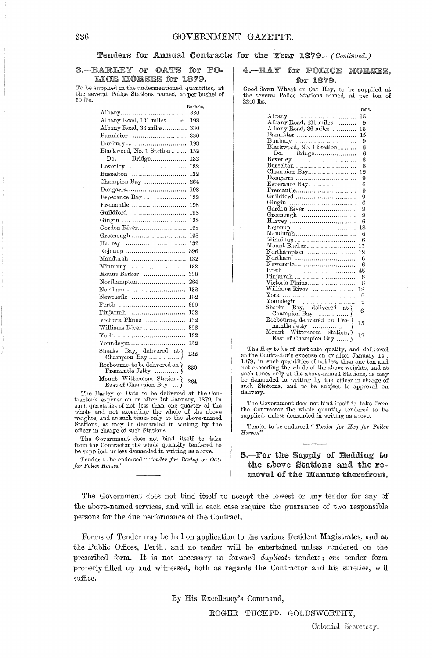#### Tenders for Annual Contracts for the Year 1879. - (Continued.)

3. BARLEY or OATS for PO-LICE HORSES for 1879.

To be supplied in the undermentioned quantities, at the several Police Stations named, at per bushel of  $50$  lbs.

|                                                    | Bushels. |
|----------------------------------------------------|----------|
|                                                    | 330      |
| Albany Road, 131 miles                             | 198      |
| Albany Road, 36 miles                              | 330      |
| Bannister                                          | 330      |
| Bunbury                                            | 198      |
| Blackwood, No. 1 Station                           | 132      |
| Do. Bridge                                         | 132      |
| Beverley                                           | 132      |
| Busselton                                          | 132      |
| Champion Bay                                       | 264      |
| Dongarra                                           | 198      |
| Esperance Bay                                      | 132      |
| Fremantle                                          | 198      |
| Guildford                                          | 198      |
|                                                    | 132      |
| Gordon River                                       | 198      |
| Greenough                                          | 198      |
|                                                    | 132      |
|                                                    | 396      |
| Mandurah                                           | 132      |
| Minninup                                           | 132      |
| Mount Barker                                       | 330      |
| Northampton                                        | 264      |
| Northam                                            | 132      |
| Newcastle                                          | 132      |
| Perth                                              | 990      |
| Pinjarrah                                          | 132      |
| Victoria Plains                                    | 132      |
| Williams River                                     | 396      |
|                                                    | 132      |
| Youndegin                                          | 132      |
| Sharks Bay, delivered at {                         | 132      |
| Roebourne, to be delivered on $\lambda$            | 330      |
| Mount Wittenoom Station, {<br>East of Champion Bay | 264      |

The Barley or Oats to be delivered at the Contractor's expense on or after 1st January, 1879, in such quantities of not less than one quarter of the whole and not exceeding the whole of the above weights, and at such times only at the above-named Stations, as may be demanded in writing by the officer in charge of such Stations.

The Government does not bind itself to take from the Contractor the whole quantity tendered to be supplied, unless demanded in writing as above.

Tender to be endorsed "Tender for Barley or Oats  $for$  Police Horses."

4. HAY for POLICE HORSES. for 1879.

Good Sown Wheat or Oat Hay, to be supplied at the several Police Stations named, at per ton of 2240 lbs.

|                                                        | Tons.      |
|--------------------------------------------------------|------------|
|                                                        | 15         |
|                                                        | 9          |
| Albany Road, 36 miles                                  | 15         |
| Bannister                                              | 15         |
|                                                        | 9          |
| Bunbury<br>Blackwood, No. 1 Station                    | 6          |
| Do. Bridge                                             | 6          |
|                                                        | 6          |
| Busselton                                              | 6          |
| Champion Bay                                           | 12         |
|                                                        | 9          |
| Esperance Bay                                          | 6          |
| $Fremantle.\ldots.\ldots.\ldots.\ldots.\ldots.\ldots.$ | 9          |
| Guildford                                              | 9          |
|                                                        | 6          |
| Gordon River                                           | 9          |
|                                                        | 9          |
| $\text{Harvey}$                                        | 6          |
| $Kojonup$                                              | 18         |
| $Mandurah$                                             | 6          |
| Minninup                                               | 6          |
| Mount Barker                                           | 15         |
| Northampton                                            | 12         |
| Northam                                                | 6          |
| Newcastle                                              | 6          |
|                                                        | 45         |
| Pinjarrah                                              | 6          |
| Victoria Plains                                        | 6          |
| Williams River                                         | 18         |
|                                                        | 6          |
|                                                        | 6          |
|                                                        | $\epsilon$ |
|                                                        |            |
|                                                        | 15         |
|                                                        |            |
|                                                        | 12         |
| East of Champion Bay                                   |            |

The Hay to be of first-rate quality, and delivered at the Contractor's expense on or after January 1st, 1879, in such quantities of not less than one ton and not exceeding the whole of the above weights, and at such times only at the above-named Stations, as may be demanded in writing by the officer in charge of such Stations, and to be subject to approval on  $\cdot$  delivery.

The Government does not bind itself to take from the Contractor the whole quantity tendered to be supplied, unless demanded in writing as above.

Tender to be endorsed " Tender for Hay for Police  $H$ <sub>orses</sub>.

### 5.-For the Supply of Bedding to the above Stations and the removal of the Manure therefrom.

The Government does not bind itself to accept the lowest or any tender for any of the above-named services, and will in each case require the guarantee of two responsible persons for the due performance of the Contract.

Forms of Tender may be had on application to the various Resident Magistrates, and at the Public Offices, Perth; and no tender will be entertained unless rendered on the prescribed form. It is not necessary to forward *duplicate* tenders; *one* tender form properly filled up and witnessed, both as regards the Contractor and his sureties, will suffice.

By His Excellency's Command,

ROGER TUCKFD. GOLDSWORTHY,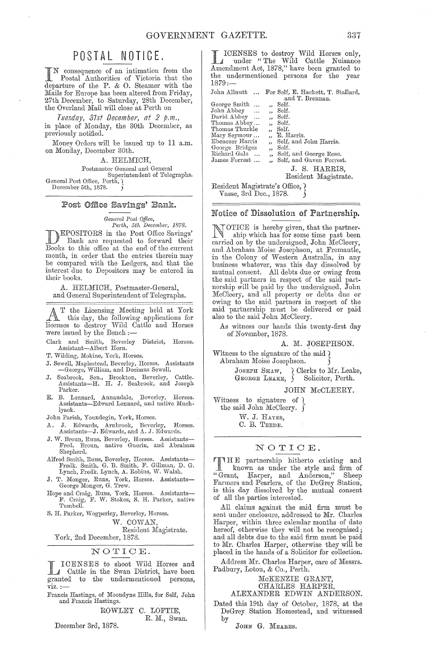# POSTAL NOTICE.

I N consequence of an intimation from the Postal Authorities of Victoria that the departure of the P. & O. Steamer with the Mails for Europe has been altered from Friday, 27th December, to Saturday, 28th December, the Overland Mail will close at Perth on

*Tuesday, 37st December, at* 2 *p.m.,*  in place of Monday, the 30th December, as previously notified.

Money Orders will be issued up to 11 a.m. on Monday, December 30th.

A. HELMICH,

Postmaster General and General Superintendent of Telegraphs. General Post Office, Perth,  $\widetilde{?}$ December 5th, 1878.

#### Post Office Savings' Bank.

*General Post Office,* 

*Perth, 5th December, 1878.*  **DEPOSITORS** in the Post Office Savings' Bank are requested to forward their Books to this office at the end of the current month, in order that the entries therein may be comparcd with the Ledgers, and that the interest due to Depositors may be entered in their hooks.

A. HELMICH, Postmaster-General, and General Superintendent of Telegraphs.

AT the Licensing Meeting held at York<br>this day, the following applications for<br>licenses to destroy Wild Cottle and Horses licenses to destroy Wild Cattle and Horses were issued hy the Bench:-

Clark and Smith, Beverley District, Horses.<br>Assistant-Albert Horn.

T. Wilding, Mokine, York, Horses.

J. Sewell, Maplestead, Beverley, Horses. Assistants -George, William, and Decimus Sewell.

- J. Seabrook, Sen., Brookton, Beverley, Cattle. Assistants-H. H. J. Seabrook, and Joseph Parker.
- E. B. Lennard, Annandale, Beverley, Horses. Assistants-Edward Lennard, and native Muchlvack.

John Parish, Youndegin, York, Horses.

- A. J. Edwards, Arnbrook, Bevorley, Horses. Assistants-J. Eclwards, and A. J. Edwards.
- J. W. Broun, Runs, Beverley, Horses. Assistants-<br>Fred. Broun, native Guerin, and Abraham Shepherd.
- Alfred Smith, Runs, Beverley, Horses. Assistants—<br>Fredk. Smith, G. B. Smith, F. Gillman, D. G.<br>Lynch, Fredk. Lynch, A. Robins, W. Walsh.
- J. T. Monger, Runs, York, Horses. Assistants-George Monger, G. Trew.
- Hope and Craig, Runs, York, Horses. Assistants-F. Craig, F. W. Stokes, S. H. Parker, native Tumbell<sup>\*</sup>
- S. H. Parker, \Vogperley, Beverley, Horses.

W. COWAN,

Resident Magistrate.

York, 2nd December, 1878.

#### NOTIOE.

ICENSES to shoot Wild Horses and Cattle in the Swan District, have been granted to the undermentioned persons,  $\nu$ iz.:

Francis Hastings, of Moondyne Hills, for Self, John and Francis Hastings.

ROWLEY C. LOFTIE, R. M., Swan.

December 3rd, 1878.

L ICENSES to destroy Wild Horses only,<br>
under "The Wild Cattle Nuisance"<br>
Amendment Act 1878" horse heap speaked to Amendment Aot, 1878," have been granted to the undermentioned persons for the year 1879:-

John Allnutt ... For Self, E. Hackett, T. Stallard, and T. Brennan.

| George Smith    |                         | Self.                    |
|-----------------|-------------------------|--------------------------|
| John Abbey      | $\ddot{\phantom{a}}$    | Self.                    |
| David Abbey     |                         | Self.                    |
| Thomas Abbey    |                         | Self.                    |
| Thomas Thurkle  | $\overline{\mathbf{z}}$ | Self.                    |
| Mary Seymour    |                         | " E. Harris.             |
| Ebenezer Harris | ,,                      | Self, and John Harris.   |
| George Bridges  | ,,                      | Self.                    |
| Richard Gale    | ,,                      | Self, and George Rose.   |
| James Forrest   |                         | Self, and Gaven Forrest. |
|                 |                         | J. S. HARRIS,            |
|                 |                         |                          |

Resident Magistrate.

Resident Magistrate's Office,  $\}$ 

Vasse, 3rd Dec., 1878.

#### Notice of Dissolution of Partnership.

NOTICE is hereby given, that the partner-<br>ship which has for some time next hear ship which has for some time past heen carried on by the undersigned, John McCleery, and Abraham Moise Josephson, at Fremantle, in the Colony of Western Australia, in any business whatever, was this day dissolved by mutual consent. All dehts due or owing from the said partners in respect of the said partnership will he paid by the undersigned, John McCleery, and all property or debts due or owing to the said partners in respect of the said partnership must be delivered or paid also to the said John McCleery.

As witness our hands this twenty-first day of November, 1878.

A. M. JOSEPHSON.

Witness to the signature of the said  $\lambda$ Abraham Moise Josephson.

JOSEPH SHAW, (Clerks to Mr. Leake, GEORGE LEAKE, ) Solicitor, Perth. GEORGE LEAKE,  $\}$ 

JOHN McCLEERY.

Witness to signature of  $\ell$ the said John McCleery.  $\int$ 

\iV. J. HAYES,

O. B. TEEDE.

#### NOTIOE.

TIHE partnership hitherto existing and known as under the style and firm of<br>nt. Harper, and Anderson," Sheep "Grant, Harper, and Anderson," Farmers and Pearlers, of the DeGrey Station, is this day dissolved hy the mutual consent of all the parties interested.

All claims against the said firm must he sent under enclosure, addressed to Mr. Charles Harper, within three calendar months of date hereof, otherwise they will not be recognised; and all debts due to the said firm must be paid to Mr. Charles Harper, otherwise they will be placed in the hands of a Solicitor for collection.

Address Mr. Oharles Harper, care of Messrs. Padbury, Loton, & Co., Perth.

#### McKENZIE GRANT, OHARLES HARPER,

ALEXANDER EDWIN ANDERSON.

Dated this 19th day of October, 1878, at the DeGrey Station Homestead, and witnessed by

JOHN G. MEARES.